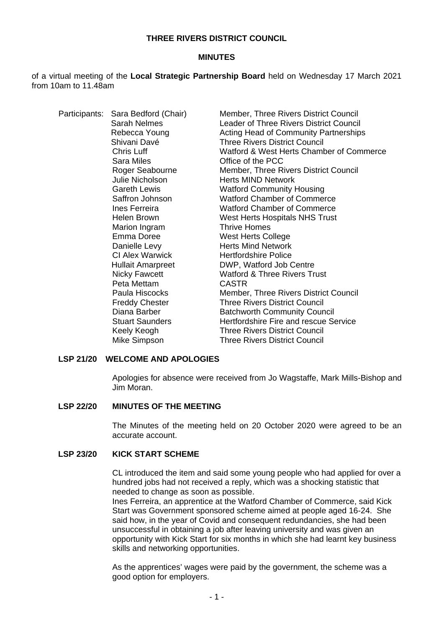### **THREE RIVERS DISTRICT COUNCIL**

### **MINUTES**

of a virtual meeting of the **Local Strategic Partnership Board** held on Wednesday 17 March 2021 from 10am to 11.48am

| Participants: | Sara Bedford (Chair)     | Member, Three Rivers District Council          |
|---------------|--------------------------|------------------------------------------------|
|               | Sarah Nelmes             | <b>Leader of Three Rivers District Council</b> |
|               | Rebecca Young            | Acting Head of Community Partnerships          |
|               | Shivani Davé             | <b>Three Rivers District Council</b>           |
|               | Chris Luff               | Watford & West Herts Chamber of Commerce       |
|               | Sara Miles               | Office of the PCC                              |
|               | Roger Seabourne          | Member, Three Rivers District Council          |
|               | Julie Nicholson          | <b>Herts MIND Network</b>                      |
|               | <b>Gareth Lewis</b>      | <b>Watford Community Housing</b>               |
|               | Saffron Johnson          | <b>Watford Chamber of Commerce</b>             |
|               | Ines Ferreira            | <b>Watford Chamber of Commerce</b>             |
|               | <b>Helen Brown</b>       | West Herts Hospitals NHS Trust                 |
|               | Marion Ingram            | <b>Thrive Homes</b>                            |
|               | Emma Doree               | <b>West Herts College</b>                      |
|               | Danielle Levy            | <b>Herts Mind Network</b>                      |
|               | CI Alex Warwick          | <b>Hertfordshire Police</b>                    |
|               | <b>Hullait Amarpreet</b> | DWP, Watford Job Centre                        |
|               | <b>Nicky Fawcett</b>     | <b>Watford &amp; Three Rivers Trust</b>        |
|               | Peta Mettam              | <b>CASTR</b>                                   |
|               | Paula Hiscocks           | Member, Three Rivers District Council          |
|               | <b>Freddy Chester</b>    | <b>Three Rivers District Council</b>           |
|               | Diana Barber             | <b>Batchworth Community Council</b>            |
|               | <b>Stuart Saunders</b>   | Hertfordshire Fire and rescue Service          |
|               | Keely Keogh              | <b>Three Rivers District Council</b>           |
|               | Mike Simpson             | <b>Three Rivers District Council</b>           |
|               |                          |                                                |

### **LSP 21/20 WELCOME AND APOLOGIES**

Apologies for absence were received from Jo Wagstaffe, Mark Mills-Bishop and Jim Moran.

### **LSP 22/20 MINUTES OF THE MEETING**

The Minutes of the meeting held on 20 October 2020 were agreed to be an accurate account.

# **LSP 23/20 KICK START SCHEME**

CL introduced the item and said some young people who had applied for over a hundred jobs had not received a reply, which was a shocking statistic that needed to change as soon as possible.

Ines Ferreira, an apprentice at the Watford Chamber of Commerce, said Kick Start was Government sponsored scheme aimed at people aged 16-24. She said how, in the year of Covid and consequent redundancies, she had been unsuccessful in obtaining a job after leaving university and was given an opportunity with Kick Start for six months in which she had learnt key business skills and networking opportunities.

As the apprentices' wages were paid by the government, the scheme was a good option for employers.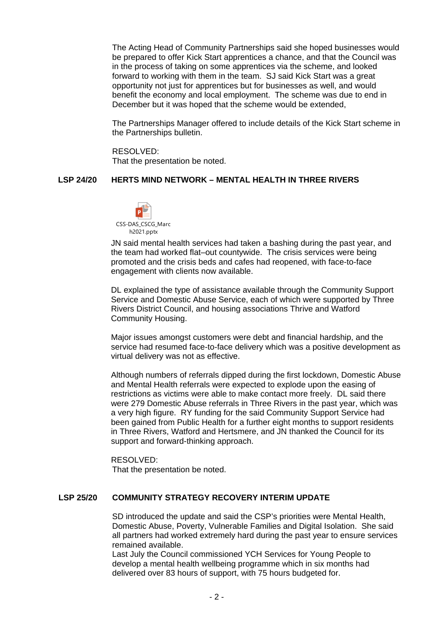The Acting Head of Community Partnerships said she hoped businesses would be prepared to offer Kick Start apprentices a chance, and that the Council was in the process of taking on some apprentices via the scheme, and looked forward to working with them in the team. SJ said Kick Start was a great opportunity not just for apprentices but for businesses as well, and would benefit the economy and local employment. The scheme was due to end in December but it was hoped that the scheme would be extended,

The Partnerships Manager offered to include details of the Kick Start scheme in the Partnerships bulletin.

RESOLVED: That the presentation be noted.

### **LSP 24/20 HERTS MIND NETWORK – MENTAL HEALTH IN THREE RIVERS**



JN said mental health services had taken a bashing during the past year, and the team had worked flat–out countywide. The crisis services were being promoted and the crisis beds and cafes had reopened, with face-to-face engagement with clients now available.

DL explained the type of assistance available through the Community Support Service and Domestic Abuse Service, each of which were supported by Three Rivers District Council, and housing associations Thrive and Watford Community Housing.

Major issues amongst customers were debt and financial hardship, and the service had resumed face-to-face delivery which was a positive development as virtual delivery was not as effective.

Although numbers of referrals dipped during the first lockdown, Domestic Abuse and Mental Health referrals were expected to explode upon the easing of restrictions as victims were able to make contact more freely. DL said there were 279 Domestic Abuse referrals in Three Rivers in the past year, which was a very high figure. RY funding for the said Community Support Service had been gained from Public Health for a further eight months to support residents in Three Rivers, Watford and Hertsmere, and JN thanked the Council for its support and forward-thinking approach.

RESOLVED: That the presentation be noted.

## **LSP 25/20 COMMUNITY STRATEGY RECOVERY INTERIM UPDATE**

SD introduced the update and said the CSP's priorities were Mental Health, Domestic Abuse, Poverty, Vulnerable Families and Digital Isolation. She said all partners had worked extremely hard during the past year to ensure services remained available.

Last July the Council commissioned YCH Services for Young People to develop a mental health wellbeing programme which in six months had delivered over 83 hours of support, with 75 hours budgeted for.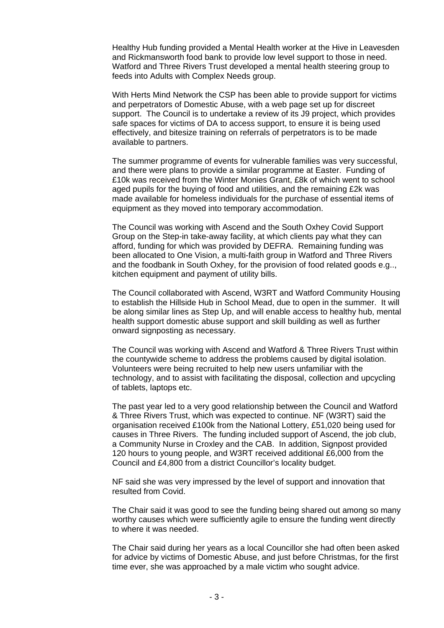Healthy Hub funding provided a Mental Health worker at the Hive in Leavesden and Rickmansworth food bank to provide low level support to those in need. Watford and Three Rivers Trust developed a mental health steering group to feeds into Adults with Complex Needs group.

With Herts Mind Network the CSP has been able to provide support for victims and perpetrators of Domestic Abuse, with a web page set up for discreet support. The Council is to undertake a review of its J9 project, which provides safe spaces for victims of DA to access support, to ensure it is being used effectively, and bitesize training on referrals of perpetrators is to be made available to partners.

The summer programme of events for vulnerable families was very successful, and there were plans to provide a similar programme at Easter. Funding of £10k was received from the Winter Monies Grant, £8k of which went to school aged pupils for the buying of food and utilities, and the remaining £2k was made available for homeless individuals for the purchase of essential items of equipment as they moved into temporary accommodation.

The Council was working with Ascend and the South Oxhey Covid Support Group on the Step-in take-away facility, at which clients pay what they can afford, funding for which was provided by DEFRA. Remaining funding was been allocated to One Vision, a multi-faith group in Watford and Three Rivers and the foodbank in South Oxhey, for the provision of food related goods e.g.., kitchen equipment and payment of utility bills.

The Council collaborated with Ascend, W3RT and Watford Community Housing to establish the Hillside Hub in School Mead, due to open in the summer. It will be along similar lines as Step Up, and will enable access to healthy hub, mental health support domestic abuse support and skill building as well as further onward signposting as necessary.

The Council was working with Ascend and Watford & Three Rivers Trust within the countywide scheme to address the problems caused by digital isolation. Volunteers were being recruited to help new users unfamiliar with the technology, and to assist with facilitating the disposal, collection and upcycling of tablets, laptops etc.

The past year led to a very good relationship between the Council and Watford & Three Rivers Trust, which was expected to continue. NF (W3RT) said the organisation received £100k from the National Lottery, £51,020 being used for causes in Three Rivers. The funding included support of Ascend, the job club, a Community Nurse in Croxley and the CAB. In addition, Signpost provided 120 hours to young people, and W3RT received additional £6,000 from the Council and £4,800 from a district Councillor's locality budget.

NF said she was very impressed by the level of support and innovation that resulted from Covid.

The Chair said it was good to see the funding being shared out among so many worthy causes which were sufficiently agile to ensure the funding went directly to where it was needed.

The Chair said during her years as a local Councillor she had often been asked for advice by victims of Domestic Abuse, and just before Christmas, for the first time ever, she was approached by a male victim who sought advice.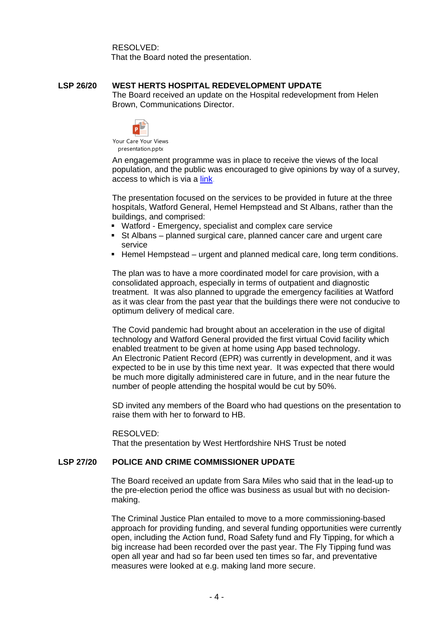RESOLVED:

That the Board noted the presentation.

### **LSP 26/20 WEST HERTS HOSPITAL REDEVELOPMENT UPDATE**

The Board received an update on the Hospital redevelopment from Helen Brown, Communications Director.



Your Care Your Views presentation.pptx

An engagement programme was in place to receive the views of the local population, and the public was encouraged to give opinions by way of a survey, access to which is via a [link.](https://www.research.net/r/m-9QLWFFV)

The presentation focused on the services to be provided in future at the three hospitals, Watford General, Hemel Hempstead and St Albans, rather than the buildings, and comprised:

- Watford Emergency, specialist and complex care service
- St Albans planned surgical care, planned cancer care and urgent care service
- Hemel Hempstead urgent and planned medical care, long term conditions.

The plan was to have a more coordinated model for care provision, with a consolidated approach, especially in terms of outpatient and diagnostic treatment. It was also planned to upgrade the emergency facilities at Watford as it was clear from the past year that the buildings there were not conducive to optimum delivery of medical care.

The Covid pandemic had brought about an acceleration in the use of digital technology and Watford General provided the first virtual Covid facility which enabled treatment to be given at home using App based technology. An Electronic Patient Record (EPR) was currently in development, and it was expected to be in use by this time next year. It was expected that there would be much more digitally administered care in future, and in the near future the number of people attending the hospital would be cut by 50%.

SD invited any members of the Board who had questions on the presentation to raise them with her to forward to HB.

#### RESOLVED:

That the presentation by West Hertfordshire NHS Trust be noted

### **LSP 27/20 POLICE AND CRIME COMMISSIONER UPDATE**

The Board received an update from Sara Miles who said that in the lead-up to the pre-election period the office was business as usual but with no decisionmaking.

The Criminal Justice Plan entailed to move to a more commissioning-based approach for providing funding, and several funding opportunities were currently open, including the Action fund, Road Safety fund and Fly Tipping, for which a big increase had been recorded over the past year. The Fly Tipping fund was open all year and had so far been used ten times so far, and preventative measures were looked at e.g. making land more secure.